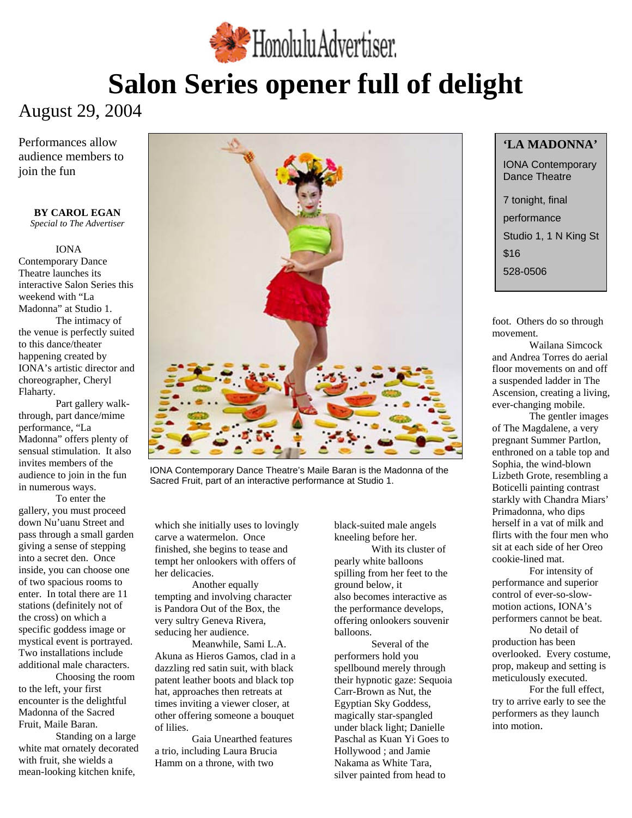

# **Salon Series opener full of delight**

# August 29, 2004

Performances allow audience members to join the fun

#### **BY CAROL EGAN**  *Special to The Advertiser*

### IONA Contemporary Dance Theatre launches its interactive Salon Series this weekend with "La Madonna" at Studio 1. The intimacy of the venue is perfectly suited to this dance/theater happening created by IONA's artistic director and choreographer, Cheryl Flaharty.

 Part gallery walkthrough, part dance/mime performance, "La Madonna" offers plenty of sensual stimulation. It also invites members of the audience to join in the fun in numerous ways.

To enter the gallery, you must proceed down Nu'uanu Street and pass through a small garden giving a sense of stepping into a secret den. Once inside, you can choose one of two spacious rooms to enter. In total there are 11 stations (definitely not of the cross) on which a specific goddess image or mystical event is portrayed. Two installations include additional male characters.

 Choosing the room to the left, your first encounter is the delightful Madonna of the Sacred Fruit, Maile Baran.

Standing on a large white mat ornately decorated with fruit, she wields a mean-looking kitchen knife,



Lizbeth Grote, resembling a IONA Contemporary Dance Theatre's Maile Baran is the Madonna of the Sacred Fruit, part of an interactive performance at Studio 1.<br>Boticelli painting contrast

which she initially uses to lovingly carve a watermelon. Once finished, she begins to tease and tempt her onlookers with offers of her delicacies.

 Another equally tempting and involving character is Pandora Out of the Box, the very sultry Geneva Rivera, seducing her audience.

Meanwhile, Sami L.A. Akuna as Hieros Gamos, clad in a dazzling red satin suit, with black patent leather boots and black top hat, approaches then retreats at times inviting a viewer closer, at other offering someone a bouquet of lilies.

 Gaia Unearthed features a trio, including Laura Brucia Hamm on a throne, with two

black-suited male angels kneeling before her. With its cluster of pearly white balloons spilling from her feet to the ground below, it also becomes interactive as the performance develops, offering onlookers souvenir balloons.

Several of the performers hold you spellbound merely through their hypnotic gaze: Sequoia Carr-Brown as Nut, the Egyptian Sky Goddess, magically star-spangled under black light; Danielle Paschal as Kuan Yi Goes to Hollywood ; and Jamie Nakama as White Tara, silver painted from head to

### **'LA MADONNA'**

IONA Contemporary Dance Theatre

7 tonight, final performance Studio 1, 1 N King St \$16 528-0506

foot. Others do so through movement.

 Wailana Simcock and Andrea Torres do aerial floor movements on and off a suspended ladder in The Ascension, creating a living, ever-changing mobile.

 The gentler images of The Magdalene, a very pregnant Summer Partlon, enthroned on a table top and Sophia, the wind-blown starkly with Chandra Miars' Primadonna, who dips herself in a vat of milk and flirts with the four men who sit at each side of her Oreo cookie-lined mat.

For intensity of performance and superior control of ever-so-slowmotion actions, IONA's performers cannot be beat.

No detail of production has been overlooked. Every costume, prop, makeup and setting is meticulously executed.

For the full effect, try to arrive early to see the performers as they launch into motion.